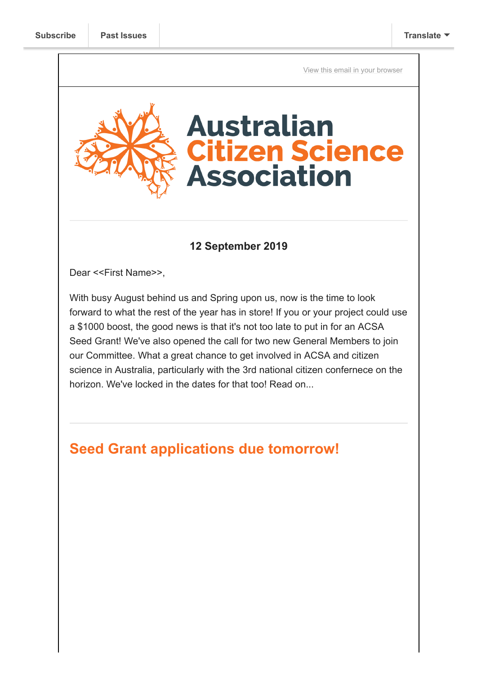[View this email in your browser](https://mailchi.mp/70ea03686497/seed-grant-applications-due-tomorrow-plus-nominate-for-a-role-with-acsa?e=[UNIQID])



#### **12 September 2019**

Dear <<First Name>>,

With busy August behind us and Spring upon us, now is the time to look forward to what the rest of the year has in store! If you or your project could use a \$1000 boost, the good news is that it's not too late to put in for an ACSA Seed Grant! We've also opened the call for two new General Members to join our Committee. What a great chance to get involved in ACSA and citizen science in Australia, particularly with the 3rd national citizen confernece on the horizon. We've locked in the dates for that too! Read on...

# **Seed Grant applications due tomorrow!**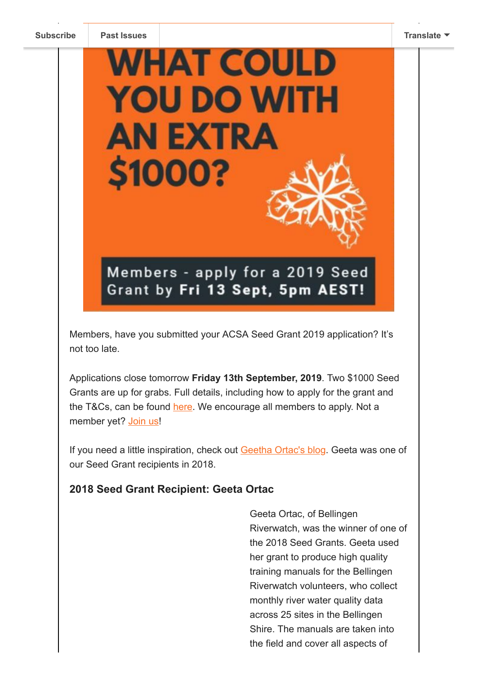

Members, have you submitted your ACSA Seed Grant 2019 application? It's not too late.

Applications close tomorrow **Friday 13th September, 2019**. Two \$1000 Seed Grants are up for grabs. Full details, including how to apply for the grant and the T&Cs, can be found [here.](https://citizenscience.org.au/seed-grants-2019-call-for-applications/) We encourage all members to apply. Not a member yet? [Join us!](https://citizenscience.org.au/product/membership/)

If you need a little inspiration, check out [Geetha Ortac's blog](https://citizenscience.org.au/2019/08/05/quality-training-manuals-thanks-to-acsa-grant/). Geeta was one of our Seed Grant recipients in 2018.

#### **2018 Seed Grant Recipient: Geeta Ortac**

Geeta Ortac, of Bellingen Riverwatch, was the winner of one of the 2018 Seed Grants. Geeta used her grant to produce high quality training manuals for the Bellingen Riverwatch volunteers, who collect monthly river water quality data across 25 sites in the Bellingen Shire. The manuals are taken into the field and cover all aspects of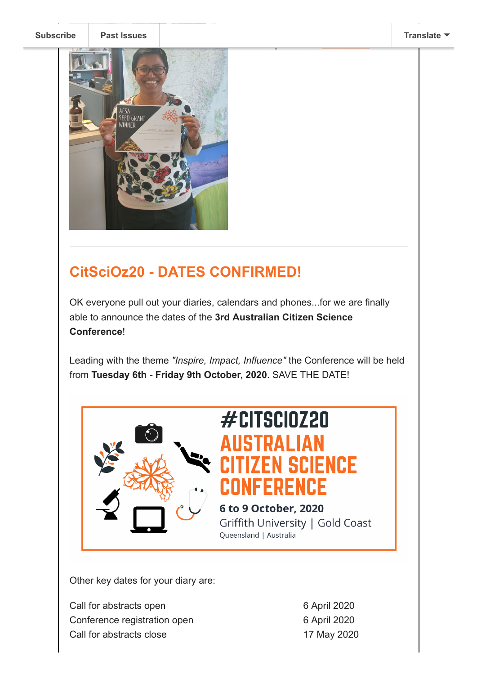water testing, care of the care of the care of the

WHS protocols. [Read more](https://citizenscience.org.au/2019/08/05/quality-training-manuals-thanks-to-acsa-grant/)...

**[Subscribe](http://eepurl.com/gr6ouP) [Past Issues](https://citizenscience.org.au/2019/08/05/engaging-and-retaining-those-elusive-volunteers/) [Translate](javascript:;)**



# **CitSciOz20 - DATES CONFIRMED!**

OK everyone pull out your diaries, calendars and phones...for we are finally able to announce the dates of the **3rd Australian Citizen Science Conference**!

Leading with the theme *"Inspire, Impact, Influence"* the Conference will be held from **Tuesday 6th - Friday 9th October, 2020**. SAVE THE DATE!



# $#$ CITSCI0Z20 RAI IAN **ITIZEN SCIENCE CONFERENCE**

6 to 9 October, 2020 Griffith University | Gold Coast Queensland | Australia

Other key dates for your diary are:

Call for abstracts open Conference registration open Call for abstracts close

6 April 2020 6 April 2020 17 May 2020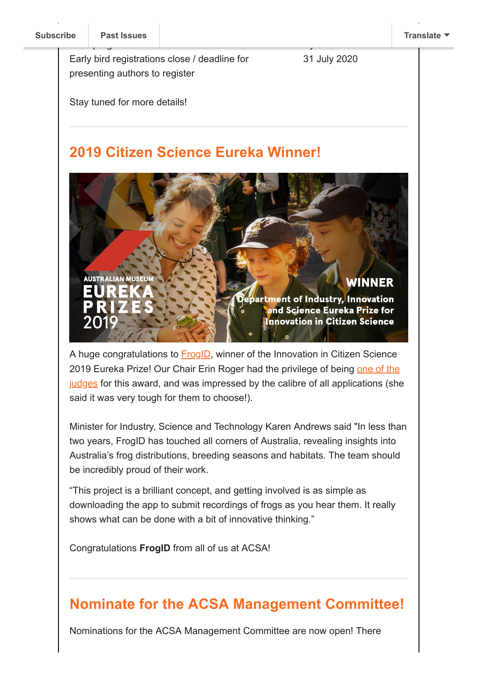Early bird registrations close / deadline for presenting authors to register

31 July 2020

By 30 June 2020

Stay tuned for more details!

#### **2019 Citizen Science Eureka Winner!**

**AUSTRALIAN MUSEU** epartment of Industry, Innovation and Science Eureka Prize for Innovation in Citizen Science

A huge congratulations to **FrogID**, winner of the Innovation in Citizen Science [2019 Eureka Prize! Our Chair Erin Roger had the privilege of being one of the](https://australianmuseum.net.au/get-involved/eureka-prizes/eureka-prizes-judges/) judges for this award, and was impressed by the calibre of all applications (she said it was very tough for them to choose!).

Minister for Industry, Science and Technology Karen Andrews said "In less than two years, FrogID has touched all corners of Australia, revealing insights into Australia's frog distributions, breeding seasons and habitats. The team should be incredibly proud of their work.

"This project is a brilliant concept, and getting involved is as simple as downloading the app to submit recordings of frogs as you hear them. It really shows what can be done with a bit of innovative thinking."

Congratulations **FrogID** from all of us at ACSA!

## **Nominate for the ACSA Management Committee!**

Nominations for the ACSA Management Committee are now open! There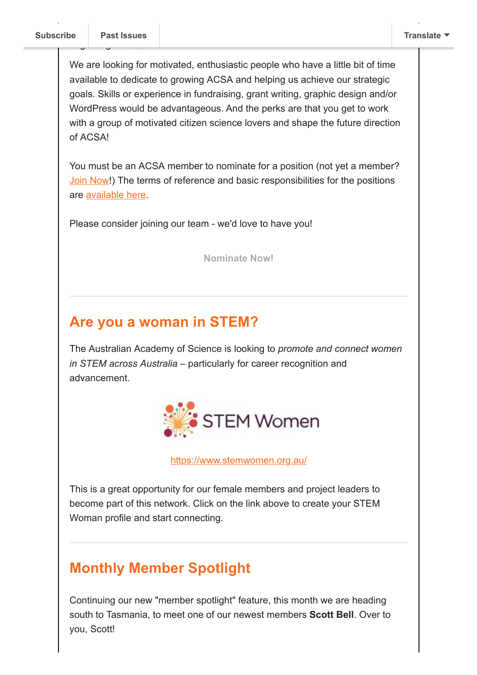beginning in December 2019.

We are looking for motivated, enthusiastic people who have a little bit of time available to dedicate to growing ACSA and helping us achieve our strategic goals. Skills or experience in fundraising, grant writing, graphic design and/or WordPress would be advantageous. And the perks are that you get to work with a group of motivated citizen science lovers and shape the future direction of ACSA!

You must be an ACSA member to nominate for a position (not yet a member? [Join Now](https://citizenscience.org.au/join-now/)!) The terms of reference and basic responsibilities for the positions are [available here](https://citizenscience.org.au/wp-content/uploads/2019/07/ACSA-Management-Committee-Terms-of-Reference-revised-140519.pdf).

Please consider joining our team - we'd love to have you!

**[Nominate Now!](https://www.surveymonkey.com/r/M758DYP)**

#### **Are you a woman in STEM?**

The Australian Academy of Science is looking to *promote and connect women in STEM across Australia* – particularly for career recognition and advancement.



<https://www.stemwomen.org.au/>

This is a great opportunity for our female members and project leaders to become part of this network. Click on the link above to create your STEM Woman profile and start connecting.

## **Monthly Member Spotlight**

Continuing our new "member spotlight" feature, this month we are heading south to Tasmania, to meet one of our newest members **Scott Bell**. Over to you, Scott!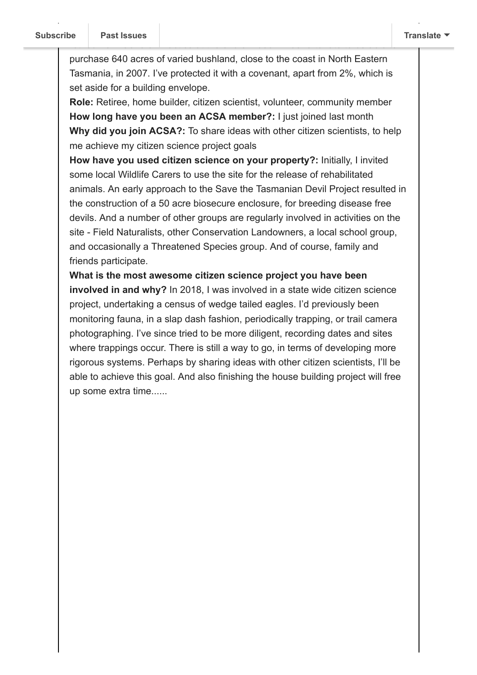purchase 640 acres of varied bushland, close to the coast in North Eastern Tasmania, in 2007. I've protected it with a covenant, apart from 2%, which is set aside for a building envelope.

retired from General Practice at the end of 2006. I was fortunate to be able to

**Role:** Retiree, home builder, citizen scientist, volunteer, community member **How long have you been an ACSA member?:** I just joined last month **Why did you join ACSA?:** To share ideas with other citizen scientists, to help me achieve my citizen science project goals

**How have you used citizen science on your property?:** Initially, I invited some local Wildlife Carers to use the site for the release of rehabilitated animals. An early approach to the Save the Tasmanian Devil Project resulted in the construction of a 50 acre biosecure enclosure, for breeding disease free devils. And a number of other groups are regularly involved in activities on the site - Field Naturalists, other Conservation Landowners, a local school group, and occasionally a Threatened Species group. And of course, family and friends participate.

**What is the most awesome citizen science project you have been involved in and why?** In 2018, I was involved in a state wide citizen science project, undertaking a census of wedge tailed eagles. I'd previously been monitoring fauna, in a slap dash fashion, periodically trapping, or trail camera photographing. I've since tried to be more diligent, recording dates and sites where trappings occur. There is still a way to go, in terms of developing more rigorous systems. Perhaps by sharing ideas with other citizen scientists, I'll be able to achieve this goal. And also finishing the house building project will free up some extra time......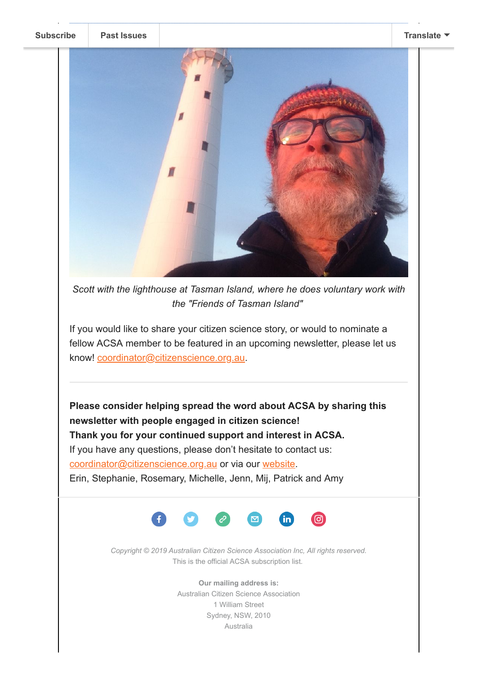#### **[Subscribe](http://eepurl.com/gr6ouP) [Past Issues](https://us9.campaign-archive.com/home/?u=bf6c4fb11671f5919db89feda&id=40b221ed15) [Translate](javascript:;)**



*Scott with the lighthouse at Tasman Island, where he does voluntary work with the "Friends of Tasman Island"* 

If you would like to share your citizen science story, or would to nominate a fellow ACSA member to be featured in an upcoming newsletter, please let us know! [coordinator@citizenscience.org.au.](mailto:coordinator@citizenscience.org.au)

**Please consider helping spread the word about ACSA by sharing this newsletter with people engaged in citizen science! Thank you for your continued support and interest in ACSA.** If you have any questions, please don't hesitate to contact us: [coordinator@citizenscience.org.au](mailto:coordinator@citizenscience.org.au) or via our [website.](http://csna.gaiaresources.com.au/wordpress/contact-us/) Erin, Stephanie, Rosemary, Michelle, Jenn, Mij, Patrick and Amy



*Copyright © 2019 Australian Citizen Science Association Inc, All rights reserved.* This is the official ACSA subscription list.

> **Our mailing address is:** Australian Citizen Science Association 1 William Street Sydney, NSW, 2010 Australia